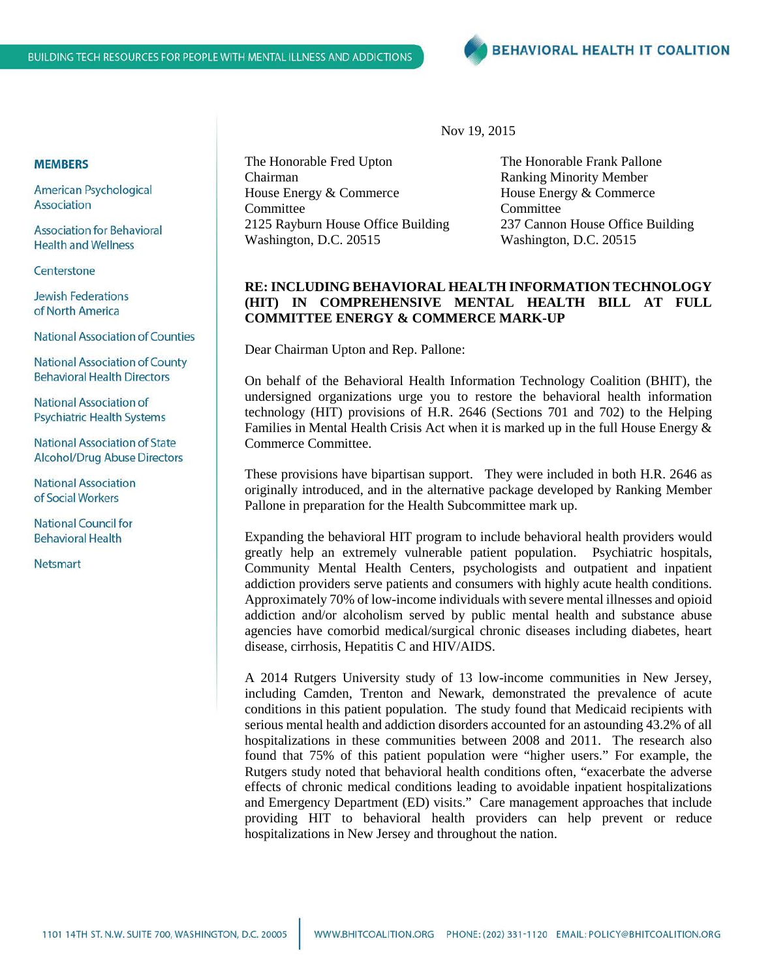

## **MEMBERS**

American Psychological Association

**Association for Behavioral Health and Wellness** 

Centerstone

**Jewish Federations** of North America

**National Association of Counties** 

**National Association of County Behavioral Health Directors** 

National Association of **Psychiatric Health Systems** 

**National Association of State** Alcohol/Drug Abuse Directors

**National Association** of Social Workers

**National Council for Behavioral Health** 

Netsmart

The Honorable Fred Upton Chairman House Energy & Commerce Committee 2125 Rayburn House Office Building Washington, D.C. 20515

The Honorable Frank Pallone Ranking Minority Member House Energy & Commerce Committee 237 Cannon House Office Building Washington, D.C. 20515

## **RE: INCLUDING BEHAVIORAL HEALTH INFORMATION TECHNOLOGY (HIT) IN COMPREHENSIVE MENTAL HEALTH BILL AT FULL COMMITTEE ENERGY & COMMERCE MARK-UP**

Nov 19, 2015

Dear Chairman Upton and Rep. Pallone:

On behalf of the Behavioral Health Information Technology Coalition (BHIT), the undersigned organizations urge you to restore the behavioral health information technology (HIT) provisions of H.R. 2646 (Sections 701 and 702) to the Helping Families in Mental Health Crisis Act when it is marked up in the full House Energy & Commerce Committee.

These provisions have bipartisan support. They were included in both H.R. 2646 as originally introduced, and in the alternative package developed by Ranking Member Pallone in preparation for the Health Subcommittee mark up.

Expanding the behavioral HIT program to include behavioral health providers would greatly help an extremely vulnerable patient population. Psychiatric hospitals, Community Mental Health Centers, psychologists and outpatient and inpatient addiction providers serve patients and consumers with highly acute health conditions. Approximately 70% of low-income individuals with severe mental illnesses and opioid addiction and/or alcoholism served by public mental health and substance abuse agencies have comorbid medical/surgical chronic diseases including diabetes, heart disease, cirrhosis, Hepatitis C and HIV/AIDS.

A 2014 Rutgers University study of 13 low-income communities in New Jersey, including Camden, Trenton and Newark, demonstrated the prevalence of acute conditions in this patient population. The study found that Medicaid recipients with serious mental health and addiction disorders accounted for an astounding 43.2% of all hospitalizations in these communities between 2008 and 2011. The research also found that 75% of this patient population were "higher users." For example, the Rutgers study noted that behavioral health conditions often, "exacerbate the adverse effects of chronic medical conditions leading to avoidable inpatient hospitalizations and Emergency Department (ED) visits." Care management approaches that include providing HIT to behavioral health providers can help prevent or reduce hospitalizations in New Jersey and throughout the nation.